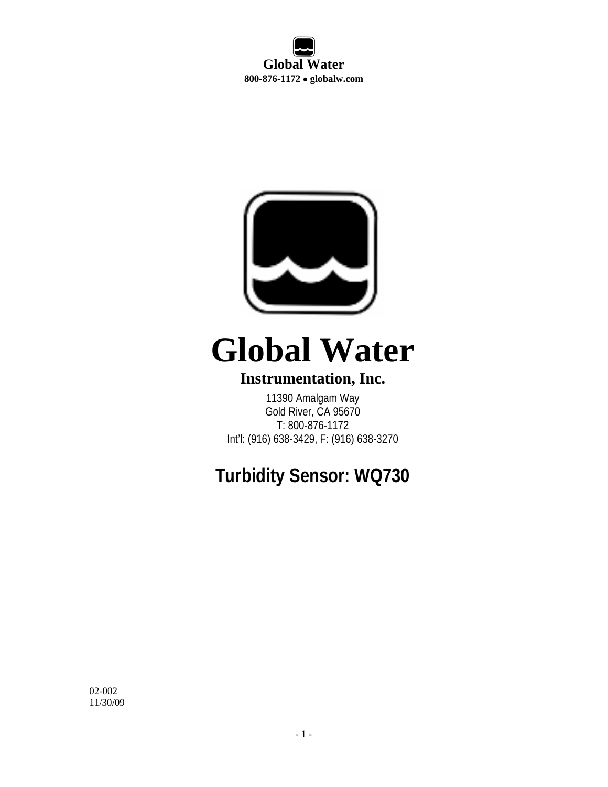**Global Water 800-876-1172** • **globalw.com** 



# **Global Water**

# **Instrumentation, Inc.**

11390 Amalgam Way Gold River, CA 95670 T: 800-876-1172 Int'l: (916) 638-3429, F: (916) 638-3270

# **Turbidity Sensor: WQ730**

02-002 11/30/09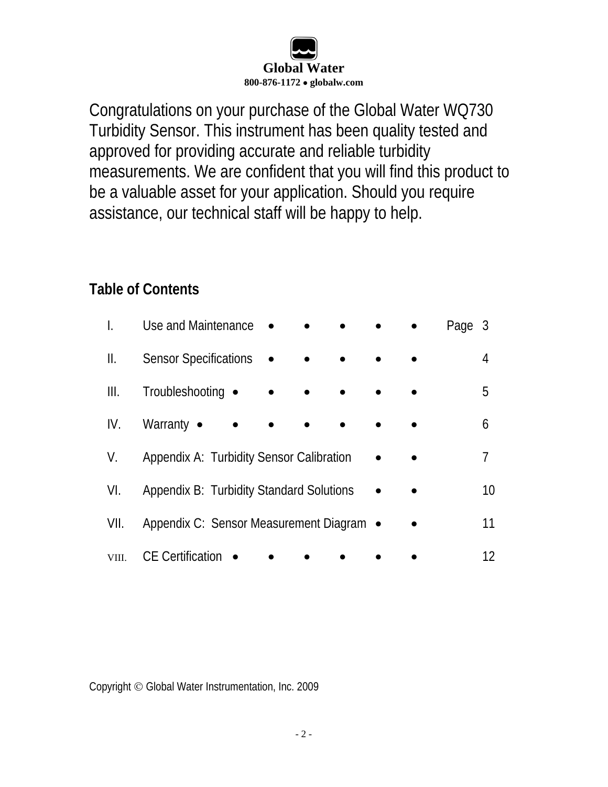

Congratulations on your purchase of the Global Water WQ730 Turbidity Sensor. This instrument has been quality tested and approved for providing accurate and reliable turbidity measurements. We are confident that you will find this product to be a valuable asset for your application. Should you require assistance, our technical staff will be happy to help.

# **Table of Contents**

|       | Use and Maintenance •<br>Page 3          |    |
|-------|------------------------------------------|----|
| Ш.    | <b>Sensor Specifications</b>             | 4  |
| Ш.    | Troubleshooting •                        | 5  |
| IV.   | Warranty $\bullet$                       | 6  |
| V.    | Appendix A: Turbidity Sensor Calibration | 7  |
| VI.   | Appendix B: Turbidity Standard Solutions | 10 |
| VII.  | Appendix C: Sensor Measurement Diagram • | 11 |
| VIII. | <b>CE</b> Certification                  | 12 |

Copyright © Global Water Instrumentation, Inc. 2009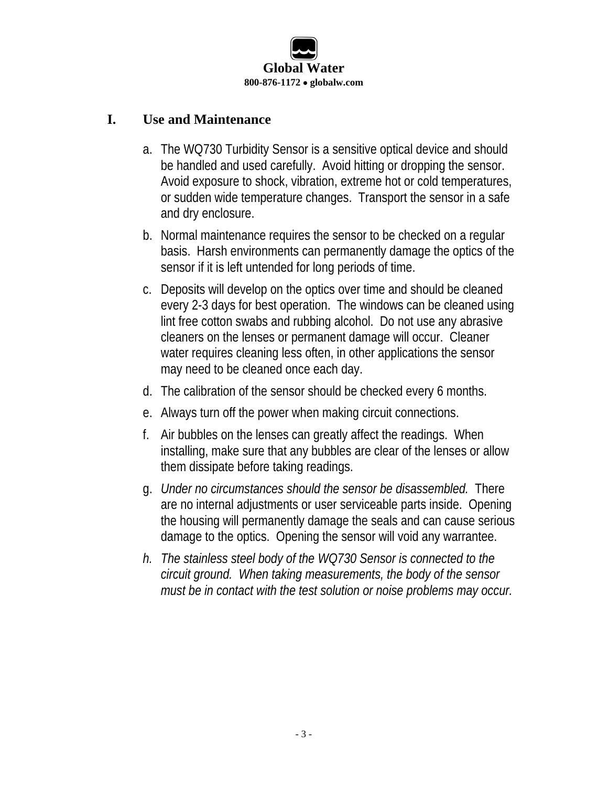

#### **I. Use and Maintenance**

- a. The WQ730 Turbidity Sensor is a sensitive optical device and should be handled and used carefully. Avoid hitting or dropping the sensor. Avoid exposure to shock, vibration, extreme hot or cold temperatures, or sudden wide temperature changes. Transport the sensor in a safe and dry enclosure.
- b. Normal maintenance requires the sensor to be checked on a regular basis. Harsh environments can permanently damage the optics of the sensor if it is left untended for long periods of time.
- c. Deposits will develop on the optics over time and should be cleaned every 2-3 days for best operation. The windows can be cleaned using lint free cotton swabs and rubbing alcohol. Do not use any abrasive cleaners on the lenses or permanent damage will occur. Cleaner water requires cleaning less often, in other applications the sensor may need to be cleaned once each day.
- d. The calibration of the sensor should be checked every 6 months.
- e. Always turn off the power when making circuit connections.
- f. Air bubbles on the lenses can greatly affect the readings. When installing, make sure that any bubbles are clear of the lenses or allow them dissipate before taking readings.
- g. *Under no circumstances should the sensor be disassembled.* There are no internal adjustments or user serviceable parts inside. Opening the housing will permanently damage the seals and can cause serious damage to the optics. Opening the sensor will void any warrantee.
- *h. The stainless steel body of the WQ730 Sensor is connected to the circuit ground. When taking measurements, the body of the sensor must be in contact with the test solution or noise problems may occur.*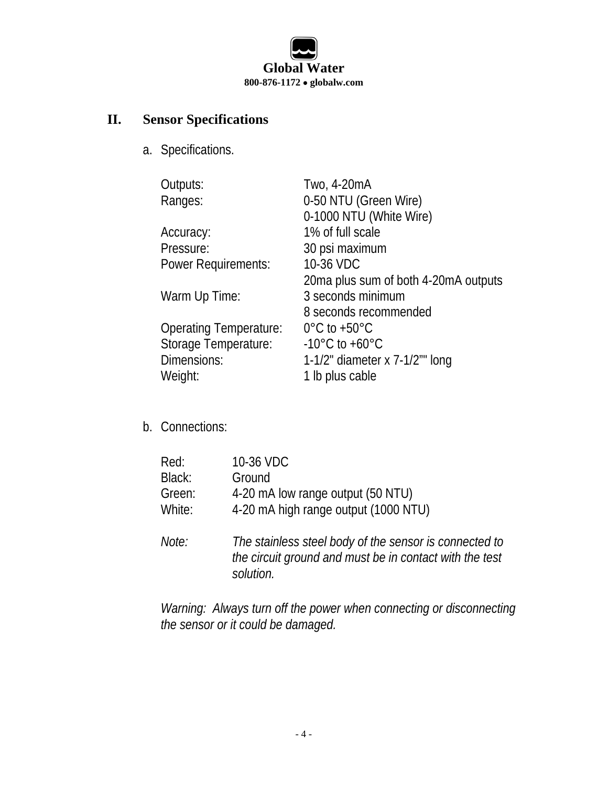

# **II. Sensor Specifications**

a. Specifications.

| Outputs:                      | Two, 4-20mA                          |
|-------------------------------|--------------------------------------|
| Ranges:                       | 0-50 NTU (Green Wire)                |
|                               | 0-1000 NTU (White Wire)              |
| Accuracy:                     | 1% of full scale                     |
| Pressure:                     | 30 psi maximum                       |
| <b>Power Requirements:</b>    | 10-36 VDC                            |
|                               | 20ma plus sum of both 4-20mA outputs |
| Warm Up Time:                 | 3 seconds minimum                    |
|                               | 8 seconds recommended                |
| <b>Operating Temperature:</b> | $0^{\circ}$ C to +50 $^{\circ}$ C    |
| Storage Temperature:          | $-10^{\circ}$ C to $+60^{\circ}$ C   |
| Dimensions:                   | 1-1/2" diameter x $7-1/2$ " long     |
| Weight:                       | 1 lb plus cable                      |
|                               |                                      |

b. Connections:

| Red:   | 10-36 VDC                                                                                                                      |
|--------|--------------------------------------------------------------------------------------------------------------------------------|
| Black: | Ground                                                                                                                         |
| Green: | 4-20 mA low range output (50 NTU)                                                                                              |
| White: | 4-20 mA high range output (1000 NTU)                                                                                           |
| Note:  | The stainless steel body of the sensor is connected to<br>the circuit ground and must be in contact with the test<br>solution. |

*Warning: Always turn off the power when connecting or disconnecting the sensor or it could be damaged.*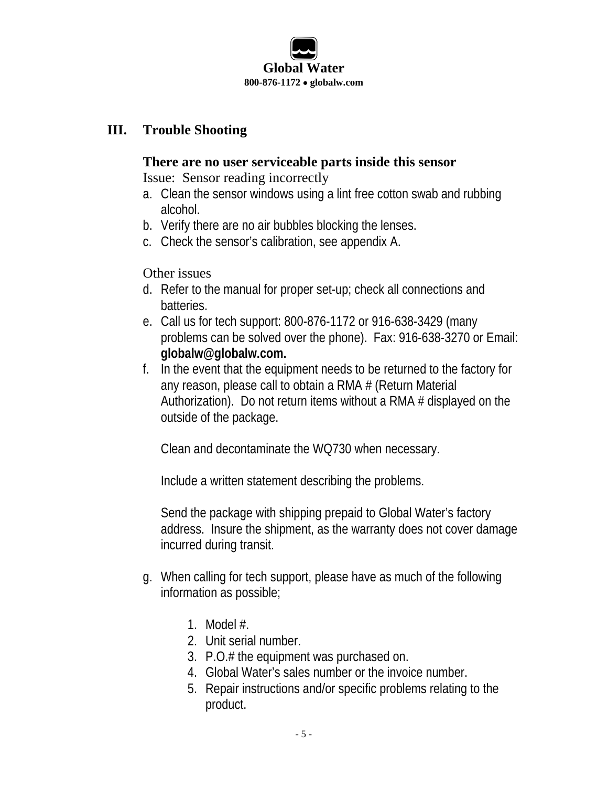

#### **III. Trouble Shooting**

#### **There are no user serviceable parts inside this sensor**

Issue: Sensor reading incorrectly

- a. Clean the sensor windows using a lint free cotton swab and rubbing alcohol.
- b. Verify there are no air bubbles blocking the lenses.
- c. Check the sensor's calibration, see appendix A.

Other issues

- d. Refer to the manual for proper set-up; check all connections and batteries.
- e. Call us for tech support: 800-876-1172 or 916-638-3429 (many problems can be solved over the phone). Fax: 916-638-3270 or Email: **globalw@globalw.com.**
- f. In the event that the equipment needs to be returned to the factory for any reason, please call to obtain a RMA # (Return Material Authorization). Do not return items without a RMA # displayed on the outside of the package.

Clean and decontaminate the WQ730 when necessary.

Include a written statement describing the problems.

Send the package with shipping prepaid to Global Water's factory address. Insure the shipment, as the warranty does not cover damage incurred during transit.

- g. When calling for tech support, please have as much of the following information as possible;
	- 1. Model #.
	- 2. Unit serial number.
	- 3. P.O.# the equipment was purchased on.
	- 4. Global Water's sales number or the invoice number.
	- 5. Repair instructions and/or specific problems relating to the product.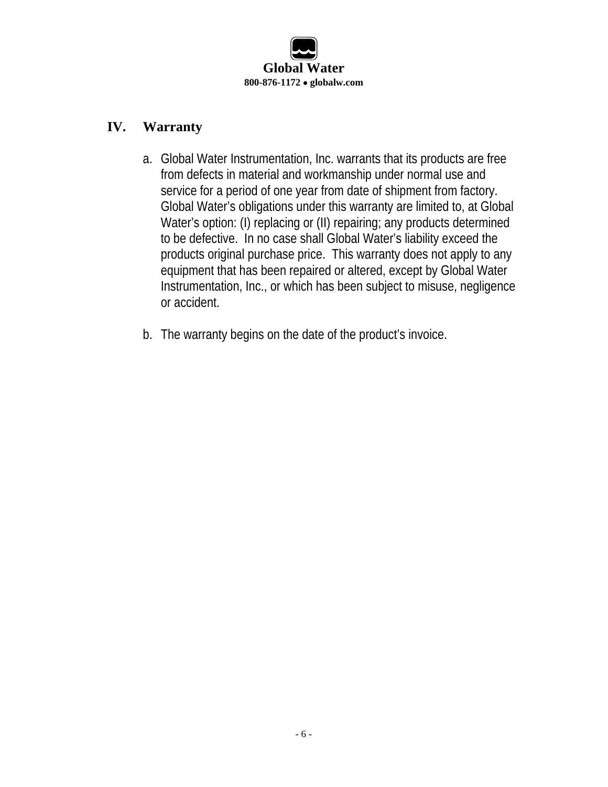

#### **IV. Warranty**

- a. Global Water Instrumentation, Inc. warrants that its products are free from defects in material and workmanship under normal use and service for a period of one year from date of shipment from factory. Global Water's obligations under this warranty are limited to, at Global Water's option: (I) replacing or (II) repairing; any products determined to be defective. In no case shall Global Water's liability exceed the products original purchase price. This warranty does not apply to any equipment that has been repaired or altered, except by Global Water Instrumentation, Inc., or which has been subject to misuse, negligence or accident.
- b. The warranty begins on the date of the product's invoice.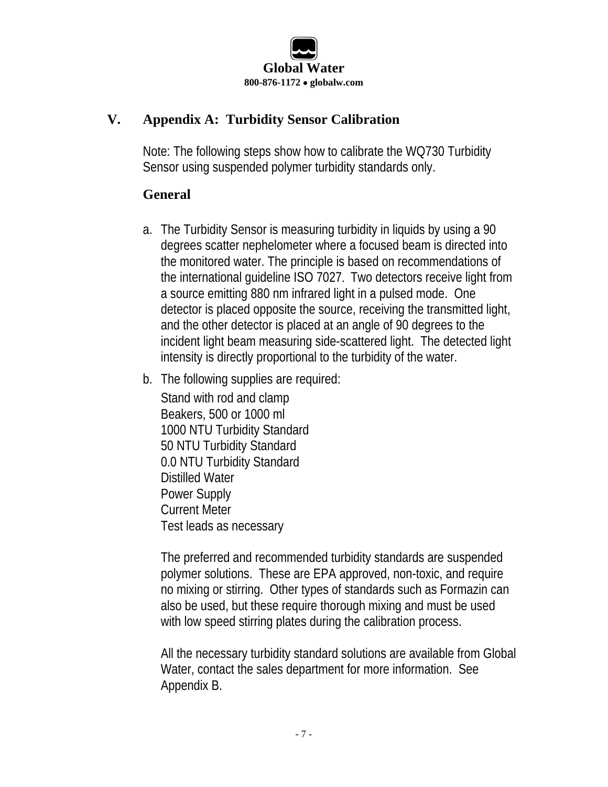

### **V. Appendix A: Turbidity Sensor Calibration**

Note: The following steps show how to calibrate the WQ730 Turbidity Sensor using suspended polymer turbidity standards only.

#### **General**

- a. The Turbidity Sensor is measuring turbidity in liquids by using a 90 degrees scatter nephelometer where a focused beam is directed into the monitored water. The principle is based on recommendations of the international guideline ISO 7027. Two detectors receive light from a source emitting 880 nm infrared light in a pulsed mode. One detector is placed opposite the source, receiving the transmitted light, and the other detector is placed at an angle of 90 degrees to the incident light beam measuring side-scattered light. The detected light intensity is directly proportional to the turbidity of the water.
- b. The following supplies are required:

Stand with rod and clamp Beakers, 500 or 1000 ml 1000 NTU Turbidity Standard 50 NTU Turbidity Standard 0.0 NTU Turbidity Standard Distilled Water Power Supply Current Meter Test leads as necessary

The preferred and recommended turbidity standards are suspended polymer solutions. These are EPA approved, non-toxic, and require no mixing or stirring. Other types of standards such as Formazin can also be used, but these require thorough mixing and must be used with low speed stirring plates during the calibration process.

All the necessary turbidity standard solutions are available from Global Water, contact the sales department for more information. See Appendix B.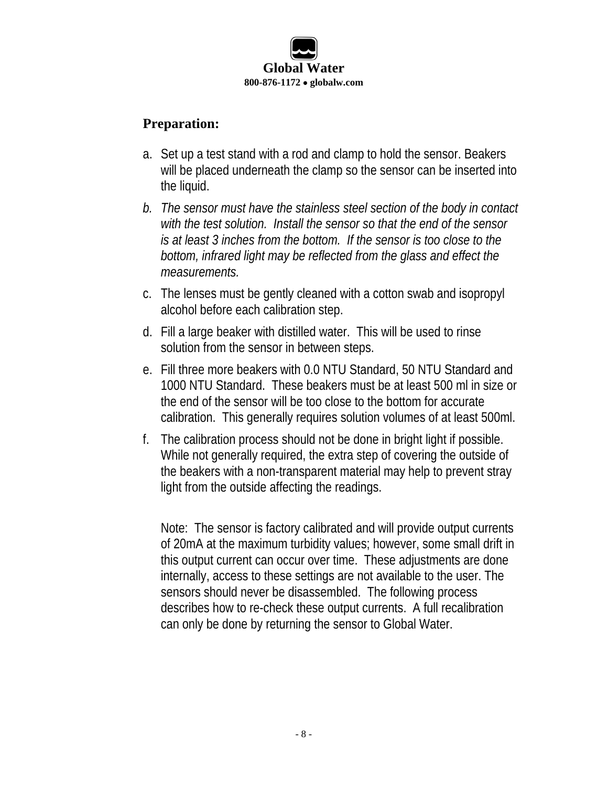

#### **Preparation:**

- a. Set up a test stand with a rod and clamp to hold the sensor. Beakers will be placed underneath the clamp so the sensor can be inserted into the liquid.
- *b. The sensor must have the stainless steel section of the body in contact with the test solution. Install the sensor so that the end of the sensor is at least 3 inches from the bottom. If the sensor is too close to the bottom, infrared light may be reflected from the glass and effect the measurements.*
- c. The lenses must be gently cleaned with a cotton swab and isopropyl alcohol before each calibration step.
- d. Fill a large beaker with distilled water. This will be used to rinse solution from the sensor in between steps.
- e. Fill three more beakers with 0.0 NTU Standard, 50 NTU Standard and 1000 NTU Standard. These beakers must be at least 500 ml in size or the end of the sensor will be too close to the bottom for accurate calibration. This generally requires solution volumes of at least 500ml.
- f. The calibration process should not be done in bright light if possible. While not generally required, the extra step of covering the outside of the beakers with a non-transparent material may help to prevent stray light from the outside affecting the readings.

Note: The sensor is factory calibrated and will provide output currents of 20mA at the maximum turbidity values; however, some small drift in this output current can occur over time. These adjustments are done internally, access to these settings are not available to the user. The sensors should never be disassembled. The following process describes how to re-check these output currents. A full recalibration can only be done by returning the sensor to Global Water.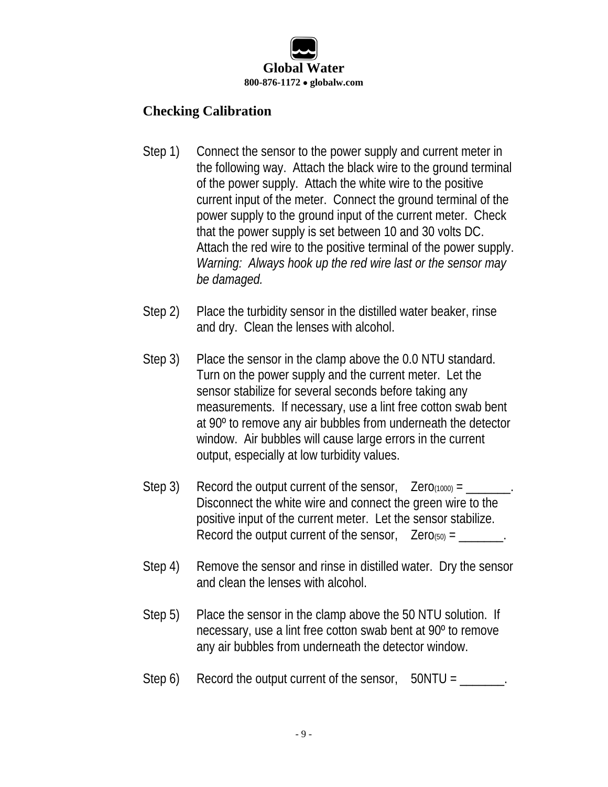

### **Checking Calibration**

- Step 1) Connect the sensor to the power supply and current meter in the following way. Attach the black wire to the ground terminal of the power supply. Attach the white wire to the positive current input of the meter. Connect the ground terminal of the power supply to the ground input of the current meter. Check that the power supply is set between 10 and 30 volts DC. Attach the red wire to the positive terminal of the power supply. *Warning: Always hook up the red wire last or the sensor may be damaged.*
- Step 2) Place the turbidity sensor in the distilled water beaker, rinse and dry. Clean the lenses with alcohol.
- Step 3) Place the sensor in the clamp above the 0.0 NTU standard. Turn on the power supply and the current meter. Let the sensor stabilize for several seconds before taking any measurements. If necessary, use a lint free cotton swab bent at 90º to remove any air bubbles from underneath the detector window. Air bubbles will cause large errors in the current output, especially at low turbidity values.
- Step 3) Record the output current of the sensor,  $\text{Zero}(1000) = \underline{\hspace{2cm}}$ . Disconnect the white wire and connect the green wire to the positive input of the current meter. Let the sensor stabilize. Record the output current of the sensor,  $Zero(50) =$
- Step 4) Remove the sensor and rinse in distilled water. Dry the sensor and clean the lenses with alcohol.
- Step 5) Place the sensor in the clamp above the 50 NTU solution. If necessary, use a lint free cotton swab bent at 90º to remove any air bubbles from underneath the detector window.
- Step  $6$ ) Record the output current of the sensor,  $50NTU =$ \_\_\_\_\_\_.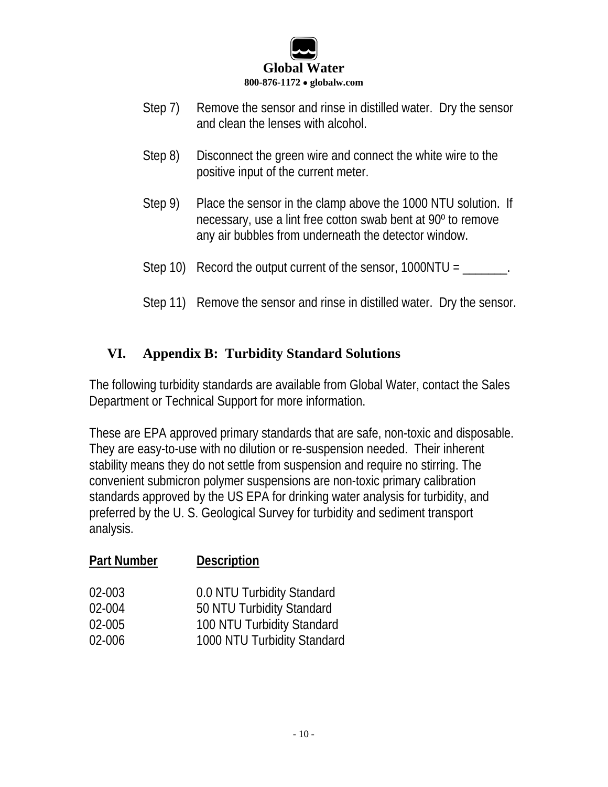

- Step 7) Remove the sensor and rinse in distilled water. Dry the sensor and clean the lenses with alcohol.
- Step 8) Disconnect the green wire and connect the white wire to the positive input of the current meter.
- Step 9) Place the sensor in the clamp above the 1000 NTU solution. If necessary, use a lint free cotton swab bent at 90º to remove any air bubbles from underneath the detector window.
- Step 10) Record the output current of the sensor,  $1000NTU = \underline{\hspace{2cm}}$ .
- Step 11) Remove the sensor and rinse in distilled water. Dry the sensor.

#### **VI. Appendix B: Turbidity Standard Solutions**

The following turbidity standards are available from Global Water, contact the Sales Department or Technical Support for more information.

These are EPA approved primary standards that are safe, non-toxic and disposable. They are easy-to-use with no dilution or re-suspension needed. Their inherent stability means they do not settle from suspension and require no stirring. The convenient submicron polymer suspensions are non-toxic primary calibration standards approved by the US EPA for drinking water analysis for turbidity, and preferred by the U. S. Geological Survey for turbidity and sediment transport analysis.

| <b>Part Number</b> | <b>Description</b>          |
|--------------------|-----------------------------|
| 02-003             | 0.0 NTU Turbidity Standard  |
| 02-004             | 50 NTU Turbidity Standard   |
| 02-005             | 100 NTU Turbidity Standard  |
| 02-006             | 1000 NTU Turbidity Standard |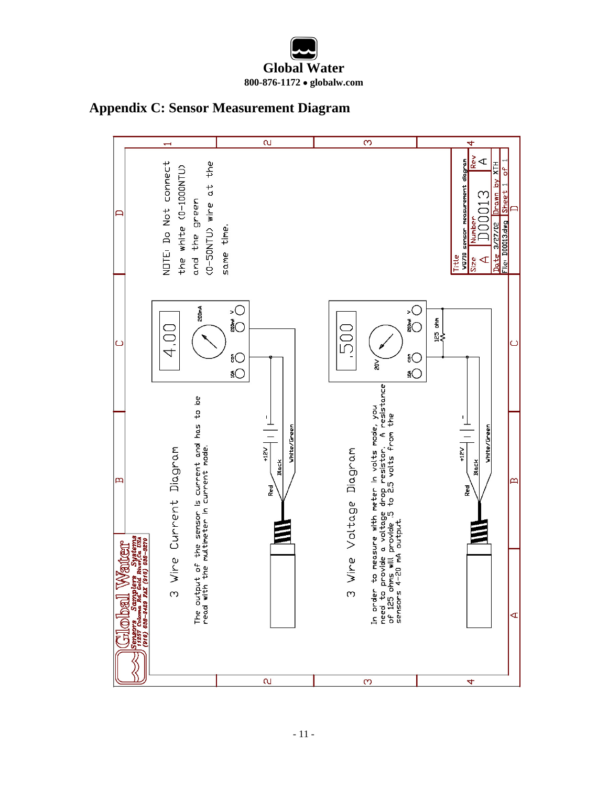# **Global Water 800-876-1172** • **globalw.com**

#### **Appendix C: Sensor Measurement Diagram**